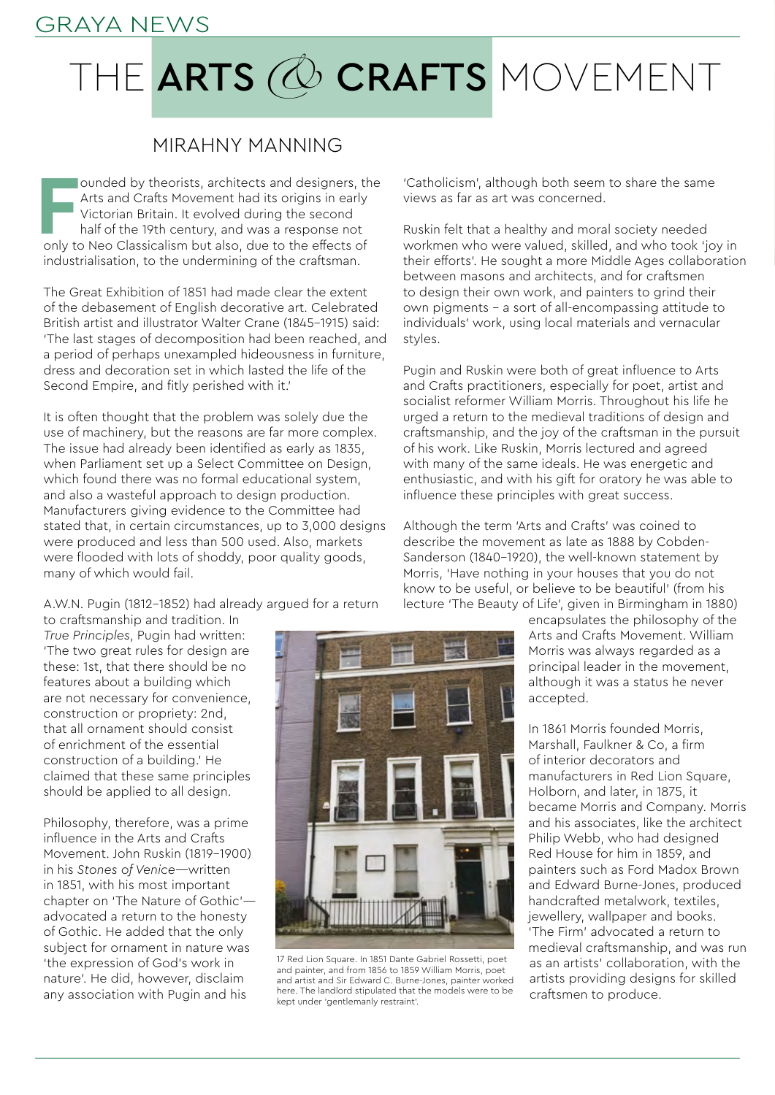## GRAYA NEWS

## THE ARTS @ CRAFTS MOVEMENT

## MIRAHNY MANNING

**FR** ounded by theorists, architects and designers, the Arts and Crafts Movement had its origins in early Victorian Britain. It evolved during the second half of the 19th century, and was a response not only to Neo Classic ounded by theorists, architects and designers, the Arts and Crafts Movement had its origins in early Victorian Britain. It evolved during the second half of the 19th century, and was a response not industrialisation, to the undermining of the craftsman.

The Great Exhibition of 1851 had made clear the extent of the debasement of English decorative art. Celebrated British artist and illustrator Walter Crane (1845–1915) said: 'The last stages of decomposition had been reached, and a period of perhaps unexampled hideousness in furniture, dress and decoration set in which lasted the life of the Second Empire, and fitly perished with it.'

It is often thought that the problem was solely due the use of machinery, but the reasons are far more complex. The issue had already been identified as early as 1835, when Parliament set up a Select Committee on Design, which found there was no formal educational system, and also a wasteful approach to design production. Manufacturers giving evidence to the Committee had stated that, in certain circumstances, up to 3,000 designs were produced and less than 500 used. Also, markets were flooded with lots of shoddy, poor quality goods, many of which would fail.

A.W.N. Pugin (1812–1852) had already argued for a return

to craftsmanship and tradition. In *True Principles*, Pugin had written: 'The two great rules for design are these: 1st, that there should be no features about a building which are not necessary for convenience, construction or propriety: 2nd, that all ornament should consist of enrichment of the essential construction of a building.' He claimed that these same principles should be applied to all design.

Philosophy, therefore, was a prime influence in the Arts and Crafts Movement. John Ruskin (1819–1900) in his *Stones of Venice*—written in 1851, with his most important chapter on 'The Nature of Gothic' advocated a return to the honesty of Gothic. He added that the only subject for ornament in nature was 'the expression of God's work in nature'. He did, however, disclaim any association with Pugin and his

'Catholicism', although both seem to share the same views as far as art was concerned.

Ruskin felt that a healthy and moral society needed workmen who were valued, skilled, and who took 'joy in their efforts'. He sought a more Middle Ages collaboration between masons and architects, and for craftsmen to design their own work, and painters to grind their own pigments – a sort of all-encompassing attitude to individuals' work, using local materials and vernacular styles.

Pugin and Ruskin were both of great influence to Arts and Crafts practitioners, especially for poet, artist and socialist reformer William Morris. Throughout his life he urged a return to the medieval traditions of design and craftsmanship, and the joy of the craftsman in the pursuit of his work. Like Ruskin, Morris lectured and agreed with many of the same ideals. He was energetic and enthusiastic, and with his gift for oratory he was able to influence these principles with great success.

Although the term 'Arts and Crafts' was coined to describe the movement as late as 1888 by Cobden-Sanderson (1840–1920), the well-known statement by Morris, 'Have nothing in your houses that you do not know to be useful, or believe to be beautiful' (from his lecture 'The Beauty of Life', given in Birmingham in 1880)

> encapsulates the philosophy of the Arts and Crafts Movement. William Morris was always regarded as a principal leader in the movement, although it was a status he never accepted.

In 1861 Morris founded Morris, Marshall, Faulkner & Co, a firm of interior decorators and manufacturers in Red Lion Square, Holborn, and later, in 1875, it became Morris and Company. Morris and his associates, like the architect Philip Webb, who had designed Red House for him in 1859, and painters such as Ford Madox Brown and Edward Burne-Jones, produced handcrafted metalwork, textiles, jewellery, wallpaper and books. 'The Firm' advocated a return to medieval craftsmanship, and was run as an artists' collaboration, with the artists providing designs for skilled craftsmen to produce.



17 Red Lion Square. In 1851 Dante Gabriel Rossetti, poet and painter, and from 1856 to 1859 William Morris, poet and artist and Sir Edward C. Burne-Jones, painter worked here. The landlord stipulated that the models were to be kept under 'gentlemanly restraint'.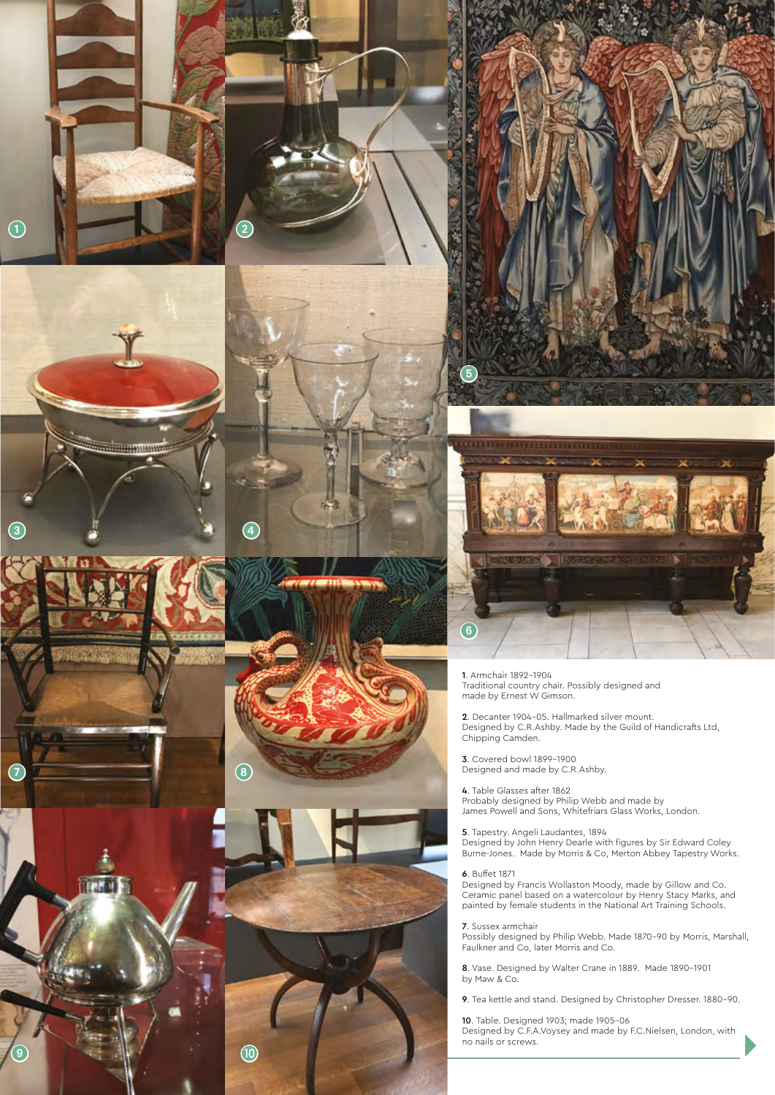



TTP T





1. Armchair 1892-1904 Traditional country chair. Possibly designed and made by Ernest W Gimson.

2. Decanter 1904-05. Hallmarked silver mount. Designed by C.R.Ashby. Made by the Guild of Handicrafts Ltd, Chipping Camden.

3. Covered bowl 1899-1900 Designed and made by C.R.Ashby.

4. Table Glasses after 1862 Probably designed by Philip Webb and made by James Powell and Sons, Whitefriars Glass Works, London.

5. Tapestry. Angeli Laudantes, 1894 Designed by John Henry Dearle with figures by Sir Edward Coley Burne-Jones. Made by Morris & Co, Merton Abbey Tapestry Works.

6. Buffet 1871

6

Designed by Francis Wollaston Moody, made by Gillow and Co. Ceramic panel based on a watercolour by Henry Stacy Marks, and painted by female students in the National Art Training Schools.

7. Sussex armchair

Possibly designed by Philip Webb. Made 1870-90 by Morris, Marshall, Faulkner and Co, later Morris and Co.

8. Vase. Designed by Walter Crane in 1889. Made 1890-1901 by Maw & Co.

9. Tea kettle and stand. Designed by Christopher Dresser. 1880-90.

10. Table. Designed 1903; made 1905-06 Designed by C.F.A.Voysey and made by F.C.Nielsen, London, with no nails or screws.

D

 $\begin{array}{|c|c|c|c|c|c|}\n\hline \end{array}$  (1)  $\begin{array}{|c|c|c|c|c|c|}\n\hline \end{array}$